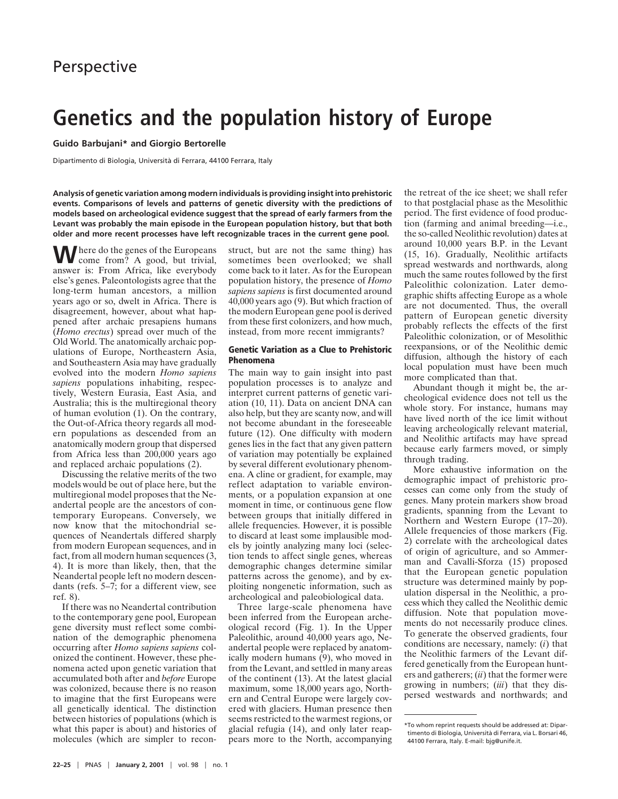# **Genetics and the population history of Europe**

**Guido Barbujani\* and Giorgio Bertorelle**

Dipartimento di Biologia, Università di Ferrara, 44100 Ferrara, Italy

**Analysis of genetic variation among modern individuals is providing insight into prehistoric events. Comparisons of levels and patterns of genetic diversity with the predictions of models based on archeological evidence suggest that the spread of early farmers from the Levant was probably the main episode in the European population history, but that both older and more recent processes have left recognizable traces in the current gene pool.**

Where do the genes of the Europeans<br>come from? A good, but trivial, answer is: From Africa, like everybody else's genes. Paleontologists agree that the long-term human ancestors, a million years ago or so, dwelt in Africa. There is disagreement, however, about what happened after archaic presapiens humans (*Homo erectus*) spread over much of the Old World. The anatomically archaic populations of Europe, Northeastern Asia, and Southeastern Asia may have gradually evolved into the modern *Homo sapiens sapiens* populations inhabiting, respectively, Western Eurasia, East Asia, and Australia; this is the multiregional theory of human evolution (1). On the contrary, the Out-of-Africa theory regards all modern populations as descended from an anatomically modern group that dispersed from Africa less than 200,000 years ago and replaced archaic populations (2).

Discussing the relative merits of the two models would be out of place here, but the multiregional model proposes that the Neandertal people are the ancestors of contemporary Europeans. Conversely, we now know that the mitochondrial sequences of Neandertals differed sharply from modern European sequences, and in fact, from all modern human sequences (3, 4). It is more than likely, then, that the Neandertal people left no modern descendants (refs. 5–7; for a different view, see ref. 8).

If there was no Neandertal contribution to the contemporary gene pool, European gene diversity must reflect some combination of the demographic phenomena occurring after *Homo sapiens sapiens* colonized the continent. However, these phenomena acted upon genetic variation that accumulated both after and *before* Europe was colonized, because there is no reason to imagine that the first Europeans were all genetically identical. The distinction between histories of populations (which is what this paper is about) and histories of molecules (which are simpler to reconstruct, but are not the same thing) has sometimes been overlooked; we shall come back to it later. As for the European population history, the presence of *Homo sapiens sapiens* is first documented around 40,000 years ago (9). But which fraction of the modern European gene pool is derived from these first colonizers, and how much, instead, from more recent immigrants?

### **Genetic Variation as a Clue to Prehistoric Phenomena**

The main way to gain insight into past population processes is to analyze and interpret current patterns of genetic variation (10, 11). Data on ancient DNA can also help, but they are scanty now, and will not become abundant in the foreseeable future (12). One difficulty with modern genes lies in the fact that any given pattern of variation may potentially be explained by several different evolutionary phenomena. A cline or gradient, for example, may reflect adaptation to variable environments, or a population expansion at one moment in time, or continuous gene flow between groups that initially differed in allele frequencies. However, it is possible to discard at least some implausible models by jointly analyzing many loci (selection tends to affect single genes, whereas demographic changes determine similar patterns across the genome), and by exploiting nongenetic information, such as archeological and paleobiological data.

Three large-scale phenomena have been inferred from the European archeological record (Fig. 1). In the Upper Paleolithic, around 40,000 years ago, Neandertal people were replaced by anatomically modern humans (9), who moved in from the Levant, and settled in many areas of the continent (13). At the latest glacial maximum, some 18,000 years ago, Northern and Central Europe were largely covered with glaciers. Human presence then seems restricted to the warmest regions, or glacial refugia (14), and only later reappears more to the North, accompanying the retreat of the ice sheet; we shall refer to that postglacial phase as the Mesolithic period. The first evidence of food production (farming and animal breeding—i.e., the so-called Neolithic revolution) dates at around 10,000 years B.P. in the Levant (15, 16). Gradually, Neolithic artifacts spread westwards and northwards, along much the same routes followed by the first Paleolithic colonization. Later demographic shifts affecting Europe as a whole are not documented. Thus, the overall pattern of European genetic diversity probably reflects the effects of the first Paleolithic colonization, or of Mesolithic reexpansions, or of the Neolithic demic diffusion, although the history of each local population must have been much more complicated than that.

Abundant though it might be, the archeological evidence does not tell us the whole story. For instance, humans may have lived north of the ice limit without leaving archeologically relevant material, and Neolithic artifacts may have spread because early farmers moved, or simply through trading.

More exhaustive information on the demographic impact of prehistoric processes can come only from the study of genes. Many protein markers show broad gradients, spanning from the Levant to Northern and Western Europe (17–20). Allele frequencies of those markers (Fig. 2) correlate with the archeological dates of origin of agriculture, and so Ammerman and Cavalli-Sforza (15) proposed that the European genetic population structure was determined mainly by population dispersal in the Neolithic, a process which they called the Neolithic demic diffusion. Note that population movements do not necessarily produce clines. To generate the observed gradients, four conditions are necessary, namely: (*i*) that the Neolithic farmers of the Levant differed genetically from the European hunters and gatherers; (*ii*) that the former were growing in numbers; (*iii*) that they dispersed westwards and northwards; and

<sup>\*</sup>To whom reprint requests should be addressed at: Dipartimento di Biologia, Universita` di Ferrara, via L. Borsari 46, 44100 Ferrara, Italy. E-mail: bjg@unife.it.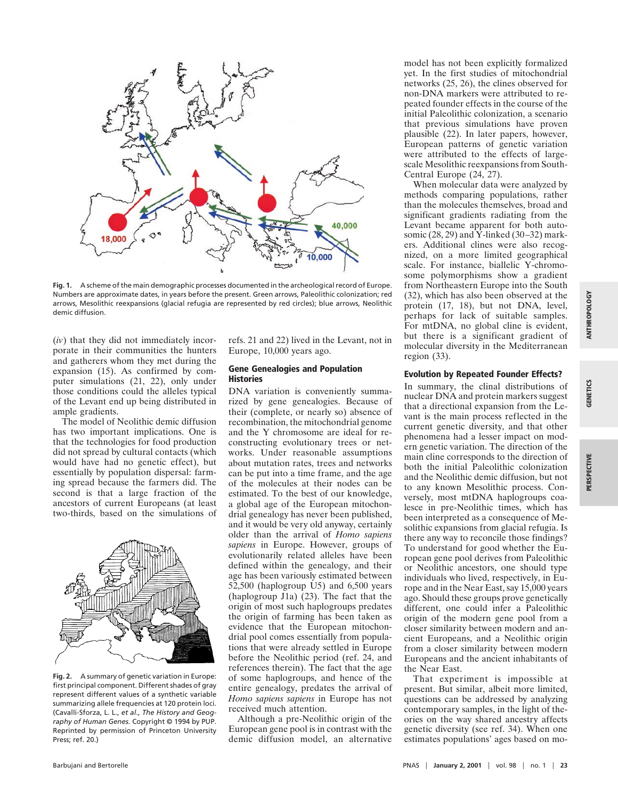

**Fig. 1.** A scheme of the main demographic processes documented in the archeological record of Europe. Numbers are approximate dates, in years before the present. Green arrows, Paleolithic colonization; red arrows, Mesolithic reexpansions (glacial refugia are represented by red circles); blue arrows, Neolithic demic diffusion.

(*iv*) that they did not immediately incorporate in their communities the hunters and gatherers whom they met during the expansion (15). As confirmed by computer simulations (21, 22), only under those conditions could the alleles typical of the Levant end up being distributed in ample gradients.

The model of Neolithic demic diffusion has two important implications. One is that the technologies for food production did not spread by cultural contacts (which would have had no genetic effect), but essentially by population dispersal: farming spread because the farmers did. The second is that a large fraction of the ancestors of current Europeans (at least two-thirds, based on the simulations of



**Fig. 2.** A summary of genetic variation in Europe: first principal component. Different shades of gray represent different values of a synthetic variable summarizing allele frequencies at 120 protein loci. (Cavalli-Sforza, L. L., *et al*., *The History and Geography of Human Genes.* Copyright © 1994 by PUP. Reprinted by permission of Princeton University Press; ref. 20.)

refs. 21 and 22) lived in the Levant, not in Europe, 10,000 years ago.

#### **Gene Genealogies and Population Histories**

DNA variation is conveniently summarized by gene genealogies. Because of their (complete, or nearly so) absence of recombination, the mitochondrial genome and the Y chromosome are ideal for reconstructing evolutionary trees or networks. Under reasonable assumptions about mutation rates, trees and networks can be put into a time frame, and the age of the molecules at their nodes can be estimated. To the best of our knowledge, a global age of the European mitochondrial genealogy has never been published, and it would be very old anyway, certainly older than the arrival of *Homo sapiens sapiens* in Europe. However, groups of evolutionarily related alleles have been defined within the genealogy, and their age has been variously estimated between  $52,500$  (haplogroup U5) and 6,500 years (haplogroup J1a) (23). The fact that the origin of most such haplogroups predates the origin of farming has been taken as evidence that the European mitochondrial pool comes essentially from populations that were already settled in Europe before the Neolithic period (ref. 24, and references therein). The fact that the age of some haplogroups, and hence of the entire genealogy, predates the arrival of *Homo sapiens sapiens* in Europe has not received much attention.

Although a pre-Neolithic origin of the European gene pool is in contrast with the demic diffusion model, an alternative

model has not been explicitly formalized yet. In the first studies of mitochondrial networks (25, 26), the clines observed for non-DNA markers were attributed to repeated founder effects in the course of the initial Paleolithic colonization, a scenario that previous simulations have proven plausible (22). In later papers, however, European patterns of genetic variation were attributed to the effects of largescale Mesolithic reexpansions from South-Central Europe (24, 27).

When molecular data were analyzed by methods comparing populations, rather than the molecules themselves, broad and significant gradients radiating from the Levant became apparent for both autosomic (28, 29) and  $\tilde{Y}$ -linked (30–32) markers. Additional clines were also recognized, on a more limited geographical scale. For instance, biallelic Y-chromosome polymorphisms show a gradient from Northeastern Europe into the South (32), which has also been observed at the protein (17, 18), but not DNA, level, perhaps for lack of suitable samples. For mtDNA, no global cline is evident, but there is a significant gradient of molecular diversity in the Mediterranean region (33).

## **Evolution by Repeated Founder Effects?**

In summary, the clinal distributions of nuclear DNA and protein markers suggest that a directional expansion from the Levant is the main process reflected in the current genetic diversity, and that other phenomena had a lesser impact on modern genetic variation. The direction of the main cline corresponds to the direction of both the initial Paleolithic colonization and the Neolithic demic diffusion, but not to any known Mesolithic process. Conversely, most mtDNA haplogroups coalesce in pre-Neolithic times, which has been interpreted as a consequence of Mesolithic expansions from glacial refugia. Is there any way to reconcile those findings? To understand for good whether the European gene pool derives from Paleolithic or Neolithic ancestors, one should type individuals who lived, respectively, in Europe and in the Near East, say 15,000 years ago. Should these groups prove genetically different, one could infer a Paleolithic origin of the modern gene pool from a closer similarity between modern and ancient Europeans, and a Neolithic origin from a closer similarity between modern Europeans and the ancient inhabitants of the Near East.

That experiment is impossible at present. But similar, albeit more limited, questions can be addressed by analyzing contemporary samples, in the light of theories on the way shared ancestry affects genetic diversity (see ref. 34). When one estimates populations' ages based on mo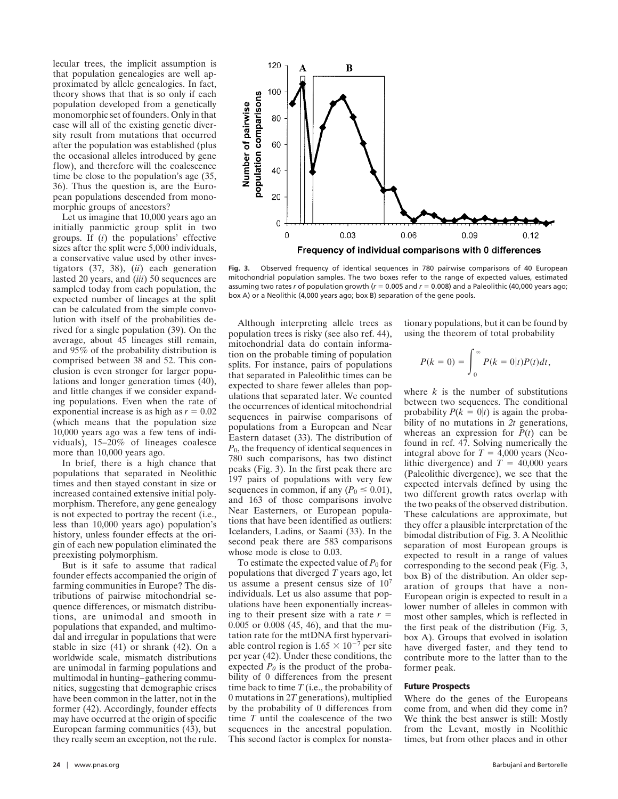lecular trees, the implicit assumption is that population genealogies are well approximated by allele genealogies. In fact, theory shows that that is so only if each population developed from a genetically monomorphic set of founders. Only in that case will all of the existing genetic diversity result from mutations that occurred after the population was established (plus the occasional alleles introduced by gene flow), and therefore will the coalescence time be close to the population's age (35, 36). Thus the question is, are the European populations descended from monomorphic groups of ancestors?

Let us imagine that 10,000 years ago an initially panmictic group split in two groups. If (*i*) the populations' effective sizes after the split were 5,000 individuals, a conservative value used by other investigators (37, 38), (*ii*) each generation lasted 20 years, and (*iii*) 50 sequences are sampled today from each population, the expected number of lineages at the split can be calculated from the simple convolution with itself of the probabilities derived for a single population (39). On the average, about 45 lineages still remain, and 95% of the probability distribution is comprised between 38 and 52. This conclusion is even stronger for larger populations and longer generation times (40), and little changes if we consider expanding populations. Even when the rate of exponential increase is as high as  $r = 0.02$ (which means that the population size 10,000 years ago was a few tens of individuals), 15–20% of lineages coalesce more than 10,000 years ago.

In brief, there is a high chance that populations that separated in Neolithic times and then stayed constant in size or increased contained extensive initial polymorphism. Therefore, any gene genealogy is not expected to portray the recent (i.e., less than 10,000 years ago) population's history, unless founder effects at the origin of each new population eliminated the preexisting polymorphism.

But is it safe to assume that radical founder effects accompanied the origin of farming communities in Europe? The distributions of pairwise mitochondrial sequence differences, or mismatch distributions, are unimodal and smooth in populations that expanded, and multimodal and irregular in populations that were stable in size (41) or shrank (42). On a worldwide scale, mismatch distributions are unimodal in farming populations and multimodal in hunting–gathering communities, suggesting that demographic crises have been common in the latter, not in the former (42). Accordingly, founder effects may have occurred at the origin of specific European farming communities (43), but they really seem an exception, not the rule.



**Fig. 3.** Observed frequency of identical sequences in 780 pairwise comparisons of 40 European mitochondrial population samples. The two boxes refer to the range of expected values, estimated assuming two rates *r* of population growth ( $r = 0.005$  and  $r = 0.008$ ) and a Paleolithic (40,000 years ago; box A) or a Neolithic (4,000 years ago; box B) separation of the gene pools.

Although interpreting allele trees as population trees is risky (see also ref. 44), mitochondrial data do contain information on the probable timing of population splits. For instance, pairs of populations that separated in Paleolithic times can be expected to share fewer alleles than populations that separated later. We counted the occurrences of identical mitochondrial sequences in pairwise comparisons of populations from a European and Near Eastern dataset (33). The distribution of *P*0, the frequency of identical sequences in 780 such comparisons, has two distinct peaks (Fig. 3). In the first peak there are 197 pairs of populations with very few sequences in common, if any  $(P_0 \le 0.01)$ , and 163 of those comparisons involve Near Easterners, or European populations that have been identified as outliers: Icelanders, Ladins, or Saami (33). In the second peak there are 583 comparisons whose mode is close to 0.03.

To estimate the expected value of  $P_0$  for populations that diverged *T* years ago, let us assume a present census size of 10<sup>7</sup> individuals. Let us also assume that populations have been exponentially increasing to their present size with a rate  $r =$ 0.005 or 0.008 (45, 46), and that the mutation rate for the mtDNA first hypervariable control region is  $1.65 \times 10^{-7}$  per site per year (42). Under these conditions, the expected  $P_0$  is the product of the probability of 0 differences from the present time back to time *T* (i.e., the probability of 0 mutations in 2*T* generations), multiplied by the probability of 0 differences from time *T* until the coalescence of the two sequences in the ancestral population. This second factor is complex for nonstationary populations, but it can be found by using the theorem of total probability

$$
P(k=0) = \int_0^\infty P(k=0|t)P(t)dt,
$$

where  $k$  is the number of substitutions between two sequences. The conditional probability  $P(k = 0|t)$  is again the probability of no mutations in *2t* generations, whereas an expression for  $\overline{P}(t)$  can be found in ref. 47. Solving numerically the integral above for  $T = 4,000$  years (Neolithic divergence) and  $T = 40,000$  years (Paleolithic divergence), we see that the expected intervals defined by using the two different growth rates overlap with the two peaks of the observed distribution. These calculations are approximate, but they offer a plausible interpretation of the bimodal distribution of Fig. 3. A Neolithic separation of most European groups is expected to result in a range of values corresponding to the second peak (Fig. 3, box B) of the distribution. An older separation of groups that have a non-European origin is expected to result in a lower number of alleles in common with most other samples, which is reflected in the first peak of the distribution (Fig. 3, box A). Groups that evolved in isolation have diverged faster, and they tend to contribute more to the latter than to the former peak.

#### **Future Prospects**

Where do the genes of the Europeans come from, and when did they come in? We think the best answer is still: Mostly from the Levant, mostly in Neolithic times, but from other places and in other